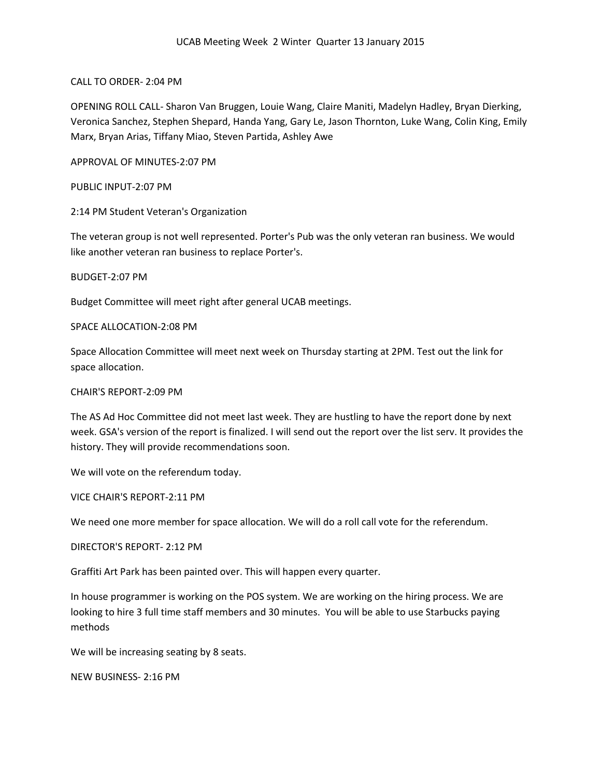CALL TO ORDER- 2:04 PM

OPENING ROLL CALL- Sharon Van Bruggen, Louie Wang, Claire Maniti, Madelyn Hadley, Bryan Dierking, Veronica Sanchez, Stephen Shepard, Handa Yang, Gary Le, Jason Thornton, Luke Wang, Colin King, Emily Marx, Bryan Arias, Tiffany Miao, Steven Partida, Ashley Awe

APPROVAL OF MINUTES-2:07 PM

PUBLIC INPUT-2:07 PM

2:14 PM Student Veteran's Organization

The veteran group is not well represented. Porter's Pub was the only veteran ran business. We would like another veteran ran business to replace Porter's.

BUDGET-2:07 PM

Budget Committee will meet right after general UCAB meetings.

SPACE ALLOCATION-2:08 PM

Space Allocation Committee will meet next week on Thursday starting at 2PM. Test out the link for space allocation.

CHAIR'S REPORT-2:09 PM

The AS Ad Hoc Committee did not meet last week. They are hustling to have the report done by next week. GSA's version of the report is finalized. I will send out the report over the list serv. It provides the history. They will provide recommendations soon.

We will vote on the referendum today.

VICE CHAIR'S REPORT-2:11 PM

We need one more member for space allocation. We will do a roll call vote for the referendum.

DIRECTOR'S REPORT- 2:12 PM

Graffiti Art Park has been painted over. This will happen every quarter.

In house programmer is working on the POS system. We are working on the hiring process. We are looking to hire 3 full time staff members and 30 minutes. You will be able to use Starbucks paying methods

We will be increasing seating by 8 seats.

NEW BUSINESS- 2:16 PM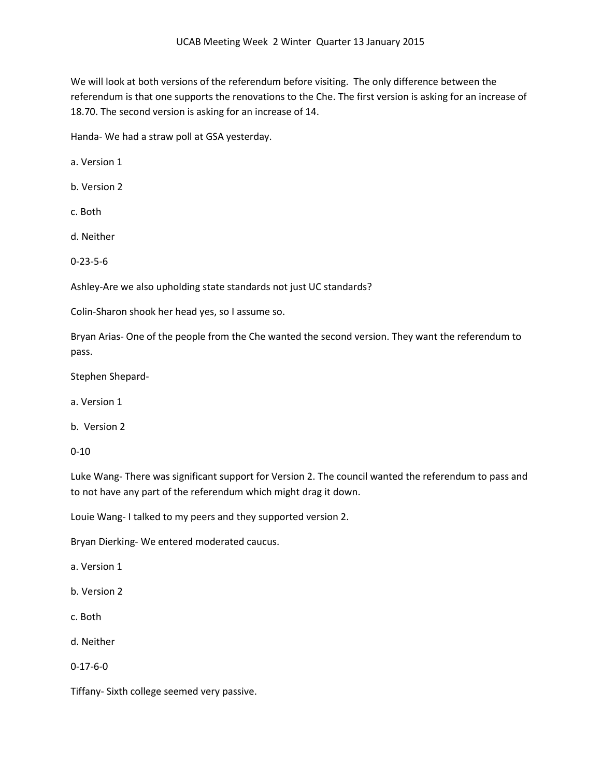We will look at both versions of the referendum before visiting. The only difference between the referendum is that one supports the renovations to the Che. The first version is asking for an increase of 18.70. The second version is asking for an increase of 14.

Handa- We had a straw poll at GSA yesterday.

a. Version 1

b. Version 2

c. Both

d. Neither

0-23-5-6

Ashley-Are we also upholding state standards not just UC standards?

Colin-Sharon shook her head yes, so I assume so.

Bryan Arias- One of the people from the Che wanted the second version. They want the referendum to pass.

Stephen Shepard-

a. Version 1

b. Version 2

0-10

Luke Wang- There was significant support for Version 2. The council wanted the referendum to pass and to not have any part of the referendum which might drag it down.

Louie Wang- I talked to my peers and they supported version 2.

Bryan Dierking- We entered moderated caucus.

a. Version 1

b. Version 2

- c. Both
- d. Neither

0-17-6-0

Tiffany- Sixth college seemed very passive.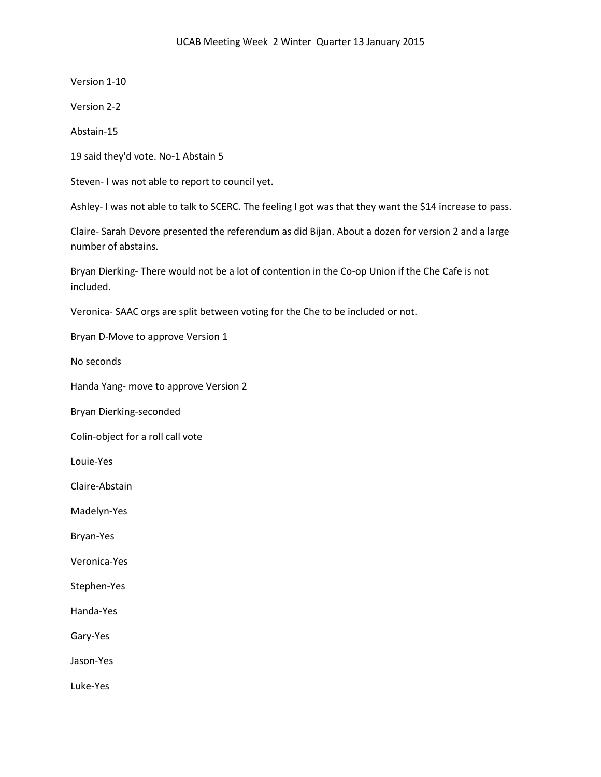Version 1-10

Version 2-2

Abstain-15

19 said they'd vote. No-1 Abstain 5

Steven- I was not able to report to council yet.

Ashley- I was not able to talk to SCERC. The feeling I got was that they want the \$14 increase to pass.

Claire- Sarah Devore presented the referendum as did Bijan. About a dozen for version 2 and a large number of abstains.

Bryan Dierking- There would not be a lot of contention in the Co-op Union if the Che Cafe is not included.

Veronica- SAAC orgs are split between voting for the Che to be included or not.

Bryan D-Move to approve Version 1

No seconds

Handa Yang- move to approve Version 2

Bryan Dierking-seconded

Colin-object for a roll call vote

Louie-Yes

Claire-Abstain

Madelyn-Yes

Bryan-Yes

Veronica-Yes

Stephen-Yes

Handa-Yes

Gary-Yes

Jason-Yes

Luke-Yes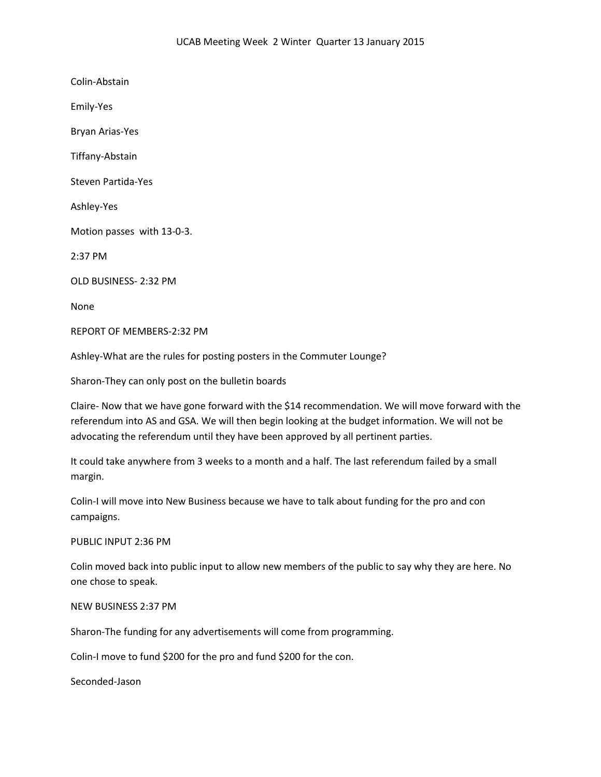Colin-Abstain Emily-Yes Bryan Arias-Yes Tiffany-Abstain Steven Partida-Yes Ashley-Yes Motion passes with 13-0-3. 2:37 PM OLD BUSINESS- 2:32 PM None REPORT OF MEMBERS-2:32 PM Ashley-What are the rules for posting posters in the Commuter Lounge?

Sharon-They can only post on the bulletin boards

Claire- Now that we have gone forward with the \$14 recommendation. We will move forward with the referendum into AS and GSA. We will then begin looking at the budget information. We will not be advocating the referendum until they have been approved by all pertinent parties.

It could take anywhere from 3 weeks to a month and a half. The last referendum failed by a small margin.

Colin-I will move into New Business because we have to talk about funding for the pro and con campaigns.

## PUBLIC INPUT 2:36 PM

Colin moved back into public input to allow new members of the public to say why they are here. No one chose to speak.

## NEW BUSINESS 2:37 PM

Sharon-The funding for any advertisements will come from programming.

Colin-I move to fund \$200 for the pro and fund \$200 for the con.

Seconded-Jason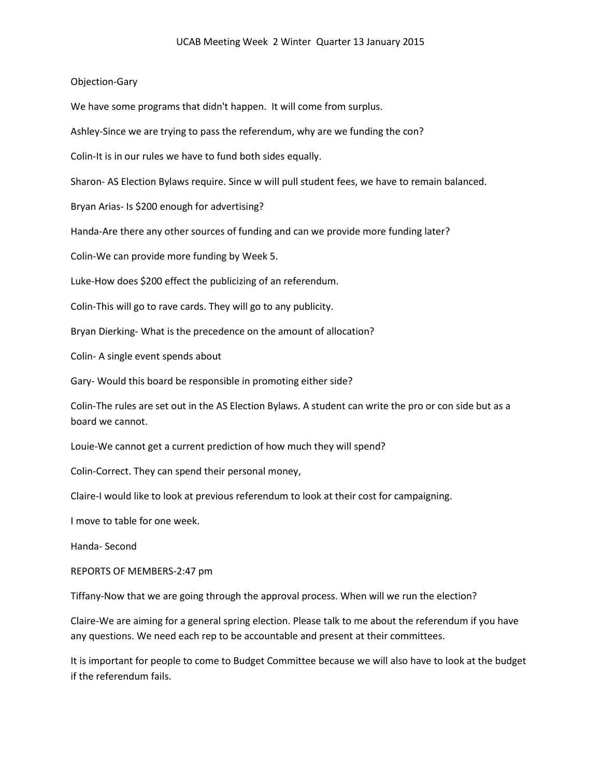## Objection-Gary

We have some programs that didn't happen. It will come from surplus.

Ashley-Since we are trying to pass the referendum, why are we funding the con?

Colin-It is in our rules we have to fund both sides equally.

Sharon- AS Election Bylaws require. Since w will pull student fees, we have to remain balanced.

Bryan Arias- Is \$200 enough for advertising?

Handa-Are there any other sources of funding and can we provide more funding later?

Colin-We can provide more funding by Week 5.

Luke-How does \$200 effect the publicizing of an referendum.

Colin-This will go to rave cards. They will go to any publicity.

Bryan Dierking- What is the precedence on the amount of allocation?

Colin- A single event spends about

Gary- Would this board be responsible in promoting either side?

Colin-The rules are set out in the AS Election Bylaws. A student can write the pro or con side but as a board we cannot.

Louie-We cannot get a current prediction of how much they will spend?

Colin-Correct. They can spend their personal money,

Claire-I would like to look at previous referendum to look at their cost for campaigning.

I move to table for one week.

Handa- Second

REPORTS OF MEMBERS-2:47 pm

Tiffany-Now that we are going through the approval process. When will we run the election?

Claire-We are aiming for a general spring election. Please talk to me about the referendum if you have any questions. We need each rep to be accountable and present at their committees.

It is important for people to come to Budget Committee because we will also have to look at the budget if the referendum fails.